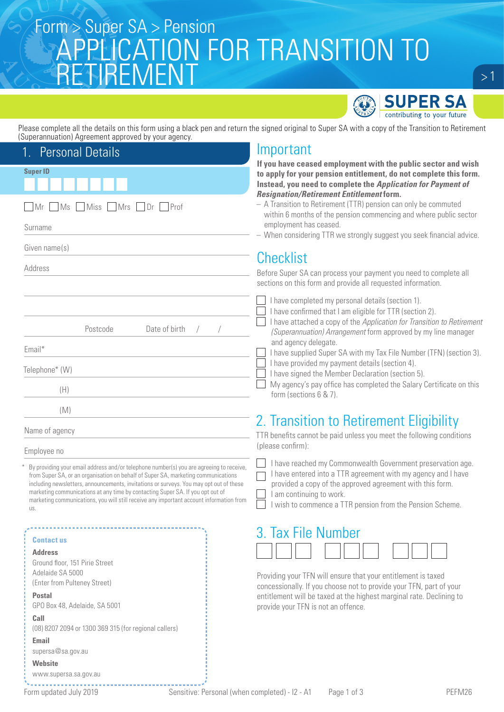## Super SA > Pension<br>CONTIONIC ATIONI FOR TRANICITION TO APPLICATION FOR TRANSITION TO **ETIREMENT**



Please complete all the details on this form using a black pen and return the signed original to Super SA with a copy of the Transition to Retirement (Superannuation) Agreement approved by your agency.

#### **Super ID** 1. Personal Details Mr Ms Miss Mrs Dr Prof Surname Given name(s) Address Postcode Date of birth Email\* Telephone\* (W) (H) (M) Name of agency Employee no Important **If you have ceased employment with the public sector and wish to apply for your pension entitlement, do not complete this form. Instead, you need to complete the** *Application for Payment of Resignation/Retirement Entitlement* **form.** – A Transition to Retirement (TTR) pension can only be commuted within 6 months of the pension commencing and where public sector employment has ceased. – When considering TTR we strongly suggest you seek financial advice. **Checklist** Before Super SA can process your payment you need to complete all sections on this form and provide all requested information. I have completed my personal details (section 1). I have confirmed that I am eligible for TTR (section 2). I have attached a copy of the *Application for Transition to Retirement (Superannuation) Arrangement* form approved by my line manager and agency delegate. I have supplied Super SA with my Tax File Number (TFN) (section 3). I have provided my payment details (section 4). I have signed the Member Declaration (section 5). My agency's pay office has completed the Salary Certificate on this form (sections 6 & 7). 2. Transition to Retirement Eligibility TTR benefits cannot be paid unless you meet the following conditions (please confirm): I have reached my Commonwealth Government preservation age. I have entered into a TTR agreement with my agency and I have provided a copy of the approved agreement with this form. I am continuing to work. I wish to commence a TTR pension from the Pension Scheme. 3. Tax File Number By providing your email address and/or telephone number(s) you are agreeing to receive, from Super SA, or an organisation on behalf of Super SA, marketing communications including newsletters, announcements, invitations or surveys. You may opt out of these marketing communications at any time by contacting Super SA. If you opt out of marketing communications, you will still receive any important account information from us.

### **Contact us**

**Address**

Ground floor, 151 Pirie Street Adelaide SA 5000 (Enter from Pulteney Street)

### **Postal**

GPO Box 48, Adelaide, SA 5001

#### **Call**

(08) 8207 2094 or 1300 369 315 (for regional callers)

#### **Email**

supersa@sa.gov.au

**Website**

www.supersa.sa.gov.au

Providing your TFN will ensure that your entitlement is taxed concessionally. If you choose not to provide your TFN, part of your entitlement will be taxed at the highest marginal rate. Declining to

provide your TFN is not an offence.

 $>1$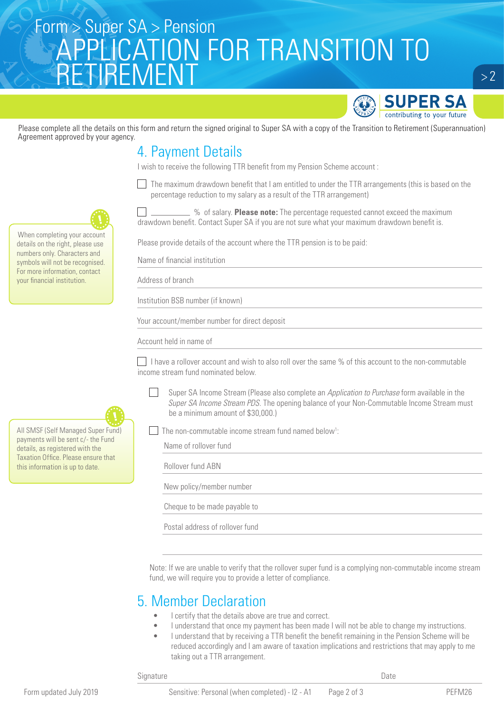# Super SA > Pension<br>CONTIONIC ATIONI FOR TRANICITION TO APPLICATION FOR TRANSITION TO RETIREMENT



 $> 2$ 

Please complete all the details on this form and return the signed original to Super SA with a copy of the Transition to Retirement (Superannuation) Agreement approved by your agency.

### 4. Payment Details

I wish to receive the following TTR benefit from my Pension Scheme account :

 $\Box$  The maximum drawdown benefit that I am entitled to under the TTR arrangements (this is based on the percentage reduction to my salary as a result of the TTR arrangement)



 % of salary. **Please note:** The percentage requested cannot exceed the maximum drawdown benefit. Contact Super SA if you are not sure what your maximum drawdown benefit is.

Please provide details of the account where the TTR pension is to be paid:

Name of financial institution

Address of branch

Institution BSB number (if known)

Your account/member number for direct deposit

Account held in name of

I have a rollover account and wish to also roll over the same  $%$  of this account to the non-commutable income stream fund nominated below.

Super SA Income Stream (Please also complete an *Application to Purchase* form available in the *Super SA Income Stream PDS*. The opening balance of your Non-Commutable Income Stream must be a minimum amount of \$30,000.)

The non-commutable income stream fund named below<sup>1</sup>:

Name of rollover fund

| Rollover fund ABN               |  |  |
|---------------------------------|--|--|
| New policy/member number        |  |  |
| Cheque to be made payable to    |  |  |
| Postal address of rollover fund |  |  |
|                                 |  |  |

Note: If we are unable to verify that the rollover super fund is a complying non-commutable income stream fund, we will require you to provide a letter of compliance.

### 5. Member Declaration

- I certify that the details above are true and correct.
- I understand that once my payment has been made I will not be able to change my instructions.
- I understand that by receiving a TTR benefit the benefit remaining in the Pension Scheme will be reduced accordingly and I am aware of taxation implications and restrictions that may apply to me taking out a TTR arrangement.

Signature Date



When completing your account details on the right, please use numbers only. Characters and symbols will not be recognised. For more information, contact your financial institution.



All SMSF (Self Managed Super Fund) payments will be sent c/- the Fund details, as registered with the Taxation Office. Please ensure that this information is up to date.

Form updated July 2019 Sensitive: Personal (when completed) - I2 - A1 Page 2 of 3 PEFM26